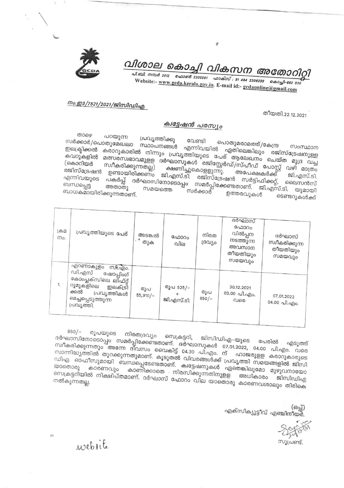

# വിശാല കൊച്ചി വികസന അതോറിറ്റി

வே 205061 விக்ஸ்: 91 484 2206230 கெ 22 682 020 Website:- www.gcda.kerala.gov.in. E-mail id:- gcdaonline@gmail.com

#### നം.ഇ3/7521/2021/ജിസിഡിഎ.

തീയതി.22.12.2021

#### ക്വട്ടേഷൻ പരസ്യം

ுலை പറയുന്ന പ്രവൃത്തിക്കു സർക്കാർ/പൊതുമേഖലാ സ്ഥാപനങ്ങൾ എന്നിവയിൽ ഏതിലെങ്കിലും രജിസ്ട്രേഷനുള്ള കരാറുകാരിൽ നിന്നും പ്രവൃത്തിയുടെ പേര് ആലേഖനം ചെയ്ത മുദ്ര വച്ച *ലപ*്പ്രകളിൽ മത്സരസ്വഭാവമുളള ദർഘാസുകൾ രജിസ്റ്റേർഡ്/സ്പീഡ് പോസ്റ്റ് വഴി മാത്രം ക്ഷണിച്ചുകൊളളുന്നു. രജിസ്ട്രേഷൻ ഉണ്ടായിരിക്കണം ജി.എസ്.ടി. രജിസ്ട്രേഷൻ സർട്ടിഫിക്കറ്റ്, ലൈസൻസ് ദർഘാസിനോടൊപ്പം സമർപ്പിക്കേണ്ടതാണ്. ജി.എസ്.ടി. യുമായി ബന്ധപ്പെട്ട അതാതു ബാധകമായിരിക്കുന്നതാണ്. ഉത്തരവുകൾ ടെണ്ടറുകൾക്ക്

| ക്രമ<br>Mo. | പ്രവ്യത്തിയുടെ പേര്<br>എറണാകുളം<br>MA. 2010.                                                                                      | അടങ്കൽ<br>് തുക   | ഫോറം<br>വില                      | നിരത<br>ദ്രവ്യം | ദർഘാസ്<br>ഫോറം<br>വിൽപ്പന<br>നടത്തുന്ന<br>അവസാന<br>തീയതിയും<br>സമയവും | ദർഘാസ്<br>സ്വീകരിക്കുന്ന<br>തീയതിയും<br>സമയവും |  |
|-------------|-----------------------------------------------------------------------------------------------------------------------------------|-------------------|----------------------------------|-----------------|-----------------------------------------------------------------------|------------------------------------------------|--|
| 1.          | ഡി.എസ്<br>ഷോപ്പിംഗ്<br>കോംപ്ലക്സിലെ ലിഫ്റ്റ്<br>റൂമുകളിലെ<br>ഇലക്ട്രി<br>ക്കൽ<br>പ്രവൃത്തികൾ<br>മെച്ചപ്പെടുത്തുന്ന<br>പ്രവ്യത്തി. | രൂപ<br>$55,910/-$ | രൂപ 525/-<br>$\pm$<br>ജി.എസ്.ടി. | രൂപ<br>$850/-$  | 30.12.2021<br>03.00 പി.എം.<br>വരെ                                     | 07.01.2022<br>04.00 പി.എം.                     |  |

രൂപയുടെ നിരതദ്രവ്യം സെക്രട്ടറി, ജിസിഡിഎ-യുടെ ദർഘാസിനോടൊപ്പം സമർപ്പിക്കേണ്ടതാണ്. ദർഘാസുകൾ 07.01.2022, 04.00 പി.എം. വരെ സ്ഥാര്ത്തുന്നതും സംഘപ്പം കൊല്ലാക്കാന് പറയുന്നത്. പറയുന്നതും പറയുന്നതും പറയുന്നതും പറയുന്നതും പറയുന്നതും പറയുന സാന്നിദ്ധ്യത്തിൽ തുറക്കുന്നതുമാണ്. കൂടുതൽ വിവരങ്ങൾക്ക് പ്രവൃത്തി സമയങ്ങളിൽ ജിസി ഡിഎ ഓഫീസുമായി ബന്ധപ്പെടേണ്ടതാണ്. ക്വട്ടേഷനുകൾ ഏതെങ്കിലുമോ മുഴുവനായോ കാണിക്കാതെ നിരസിക്കുന്നതിനുളള അധികാരം സെക്രട്ടറിയിൽ നിക്ഷിപ്തമാണ്. ദർഘാസ് ഫോറം വില യാതൊരു കാരണവശാലും തിരികെ

> $(63q)$ എക്സിക്യൂട്ടീവ് എഞ്ചിനീയർ.

സൂപ്രണ്ട്.

website

 $850/-$